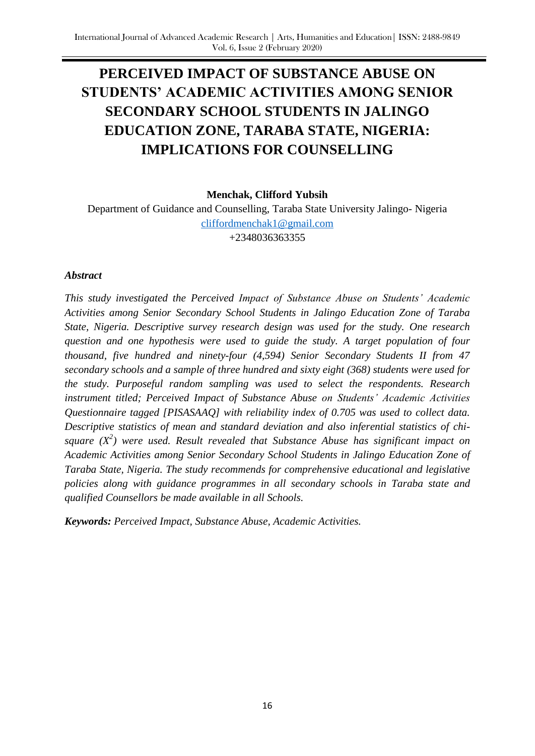# **PERCEIVED IMPACT OF SUBSTANCE ABUSE ON STUDENTS' ACADEMIC ACTIVITIES AMONG SENIOR SECONDARY SCHOOL STUDENTS IN JALINGO EDUCATION ZONE, TARABA STATE, NIGERIA: IMPLICATIONS FOR COUNSELLING**

#### **Menchak, Clifford Yubsih**

Department of Guidance and Counselling, Taraba State University Jalingo- Nigeria [cliffordmenchak1@gmail.com](mailto:cliffordmenchak1@gmail.com) +2348036363355

#### *Abstract*

*This study investigated the Perceived Impact of Substance Abuse on Students' Academic Activities among Senior Secondary School Students in Jalingo Education Zone of Taraba State, Nigeria. Descriptive survey research design was used for the study. One research question and one hypothesis were used to guide the study. A target population of four thousand, five hundred and ninety-four (4,594) Senior Secondary Students II from 47 secondary schools and a sample of three hundred and sixty eight (368) students were used for the study. Purposeful random sampling was used to select the respondents. Research instrument titled; Perceived Impact of Substance Abuse on Students' Academic Activities Questionnaire tagged [PISASAAQ] with reliability index of 0.705 was used to collect data. Descriptive statistics of mean and standard deviation and also inferential statistics of chisquare (X 2 ) were used. Result revealed that Substance Abuse has significant impact on Academic Activities among Senior Secondary School Students in Jalingo Education Zone of Taraba State, Nigeria. The study recommends for comprehensive educational and legislative policies along with guidance programmes in all secondary schools in Taraba state and qualified Counsellors be made available in all Schools.* 

*Keywords: Perceived Impact, Substance Abuse, Academic Activities.*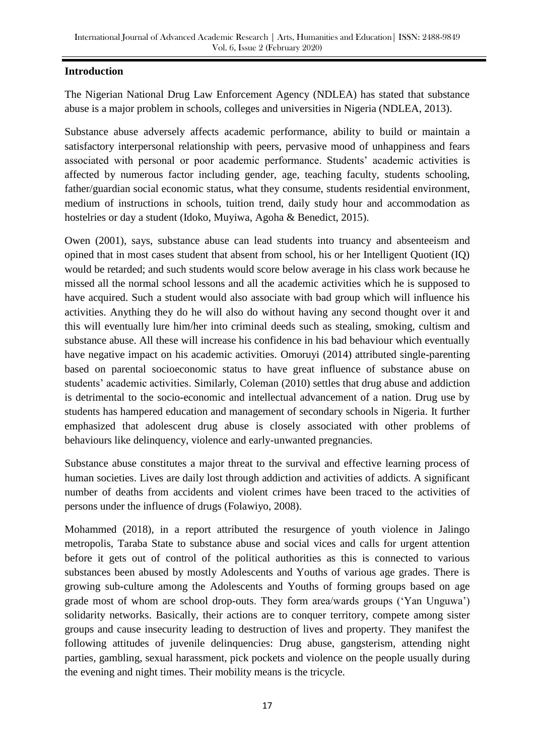## **Introduction**

The Nigerian National Drug Law Enforcement Agency (NDLEA) has stated that substance abuse is a major problem in schools, colleges and universities in Nigeria (NDLEA, 2013).

Substance abuse adversely affects academic performance, ability to build or maintain a satisfactory interpersonal relationship with peers, pervasive mood of unhappiness and fears associated with personal or poor academic performance. Students" academic activities is affected by numerous factor including gender, age, teaching faculty, students schooling, father/guardian social economic status, what they consume, students residential environment, medium of instructions in schools, tuition trend, daily study hour and accommodation as hostelries or day a student (Idoko, Muyiwa, Agoha & Benedict, 2015).

Owen (2001), says, substance abuse can lead students into truancy and absenteeism and opined that in most cases student that absent from school, his or her Intelligent Quotient (IQ) would be retarded; and such students would score below average in his class work because he missed all the normal school lessons and all the academic activities which he is supposed to have acquired. Such a student would also associate with bad group which will influence his activities. Anything they do he will also do without having any second thought over it and this will eventually lure him/her into criminal deeds such as stealing, smoking, cultism and substance abuse. All these will increase his confidence in his bad behaviour which eventually have negative impact on his academic activities. Omoruyi (2014) attributed single-parenting based on parental socioeconomic status to have great influence of substance abuse on students' academic activities. Similarly, Coleman (2010) settles that drug abuse and addiction is detrimental to the socio-economic and intellectual advancement of a nation. Drug use by students has hampered education and management of secondary schools in Nigeria. It further emphasized that adolescent drug abuse is closely associated with other problems of behaviours like delinquency, violence and early-unwanted pregnancies.

Substance abuse constitutes a major threat to the survival and effective learning process of human societies. Lives are daily lost through addiction and activities of addicts. A significant number of deaths from accidents and violent crimes have been traced to the activities of persons under the influence of drugs (Folawiyo, 2008).

Mohammed (2018), in a report attributed the resurgence of youth violence in Jalingo metropolis, Taraba State to substance abuse and social vices and calls for urgent attention before it gets out of control of the political authorities as this is connected to various substances been abused by mostly Adolescents and Youths of various age grades. There is growing sub-culture among the Adolescents and Youths of forming groups based on age grade most of whom are school drop-outs. They form area/wards groups ("Yan Unguwa") solidarity networks. Basically, their actions are to conquer territory, compete among sister groups and cause insecurity leading to destruction of lives and property. They manifest the following attitudes of juvenile delinquencies: Drug abuse, gangsterism, attending night parties, gambling, sexual harassment, pick pockets and violence on the people usually during the evening and night times. Their mobility means is the tricycle.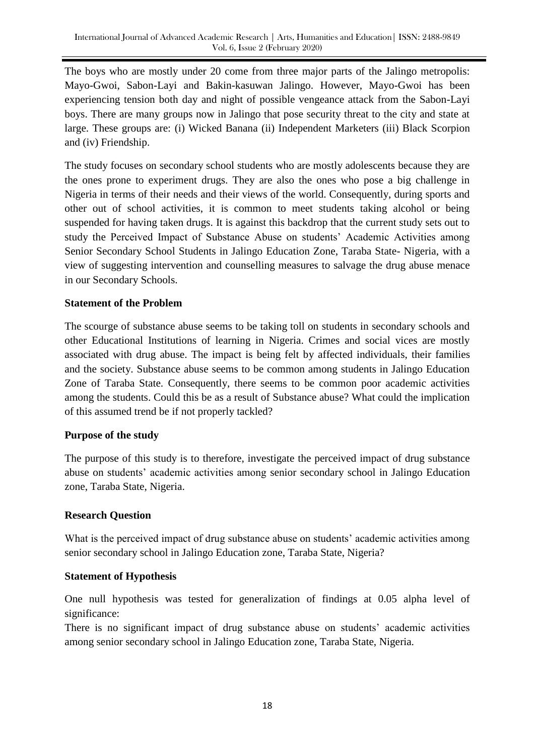The boys who are mostly under 20 come from three major parts of the Jalingo metropolis: Mayo-Gwoi, Sabon-Layi and Bakin-kasuwan Jalingo. However, Mayo-Gwoi has been experiencing tension both day and night of possible vengeance attack from the Sabon-Layi boys. There are many groups now in Jalingo that pose security threat to the city and state at large. These groups are: (i) Wicked Banana (ii) Independent Marketers (iii) Black Scorpion and (iv) Friendship.

The study focuses on secondary school students who are mostly adolescents because they are the ones prone to experiment drugs. They are also the ones who pose a big challenge in Nigeria in terms of their needs and their views of the world. Consequently, during sports and other out of school activities, it is common to meet students taking alcohol or being suspended for having taken drugs. It is against this backdrop that the current study sets out to study the Perceived Impact of Substance Abuse on students" Academic Activities among Senior Secondary School Students in Jalingo Education Zone, Taraba State- Nigeria, with a view of suggesting intervention and counselling measures to salvage the drug abuse menace in our Secondary Schools.

## **Statement of the Problem**

The scourge of substance abuse seems to be taking toll on students in secondary schools and other Educational Institutions of learning in Nigeria. Crimes and social vices are mostly associated with drug abuse. The impact is being felt by affected individuals, their families and the society. Substance abuse seems to be common among students in Jalingo Education Zone of Taraba State. Consequently, there seems to be common poor academic activities among the students. Could this be as a result of Substance abuse? What could the implication of this assumed trend be if not properly tackled?

### **Purpose of the study**

The purpose of this study is to therefore, investigate the perceived impact of drug substance abuse on students" academic activities among senior secondary school in Jalingo Education zone, Taraba State, Nigeria.

### **Research Question**

What is the perceived impact of drug substance abuse on students' academic activities among senior secondary school in Jalingo Education zone, Taraba State, Nigeria?

### **Statement of Hypothesis**

One null hypothesis was tested for generalization of findings at 0.05 alpha level of significance:

There is no significant impact of drug substance abuse on students' academic activities among senior secondary school in Jalingo Education zone, Taraba State, Nigeria.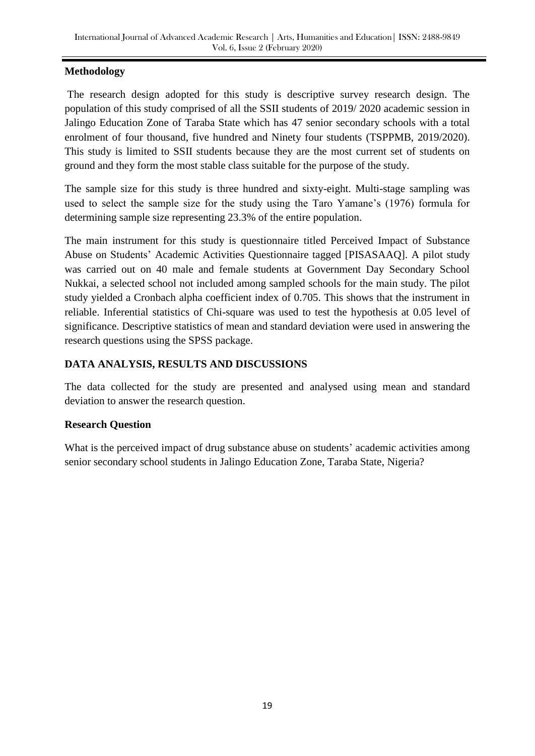## **Methodology**

The research design adopted for this study is descriptive survey research design. The population of this study comprised of all the SSII students of 2019/ 2020 academic session in Jalingo Education Zone of Taraba State which has 47 senior secondary schools with a total enrolment of four thousand, five hundred and Ninety four students (TSPPMB, 2019/2020). This study is limited to SSII students because they are the most current set of students on ground and they form the most stable class suitable for the purpose of the study.

The sample size for this study is three hundred and sixty-eight. Multi-stage sampling was used to select the sample size for the study using the Taro Yamane"s (1976) formula for determining sample size representing 23.3% of the entire population.

The main instrument for this study is questionnaire titled Perceived Impact of Substance Abuse on Students" Academic Activities Questionnaire tagged [PISASAAQ]. A pilot study was carried out on 40 male and female students at Government Day Secondary School Nukkai, a selected school not included among sampled schools for the main study. The pilot study yielded a Cronbach alpha coefficient index of 0.705. This shows that the instrument in reliable. Inferential statistics of Chi-square was used to test the hypothesis at 0.05 level of significance. Descriptive statistics of mean and standard deviation were used in answering the research questions using the SPSS package.

## **DATA ANALYSIS, RESULTS AND DISCUSSIONS**

The data collected for the study are presented and analysed using mean and standard deviation to answer the research question.

## **Research Question**

What is the perceived impact of drug substance abuse on students' academic activities among senior secondary school students in Jalingo Education Zone, Taraba State, Nigeria?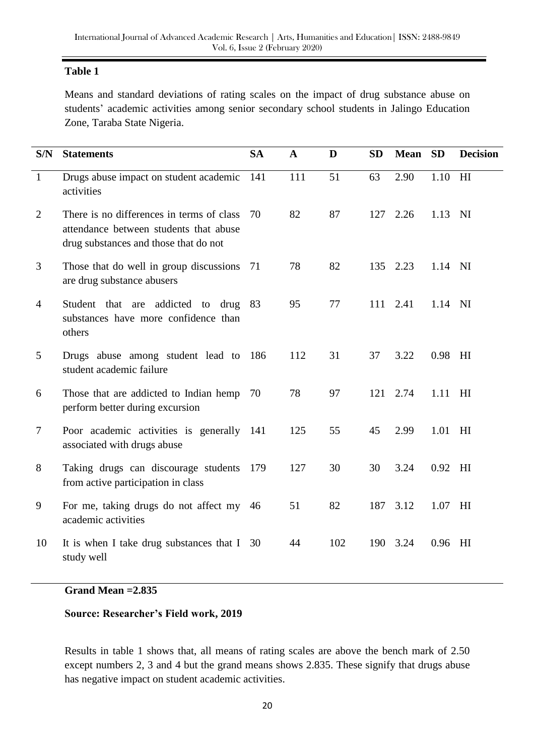## **Table 1**

Means and standard deviations of rating scales on the impact of drug substance abuse on students" academic activities among senior secondary school students in Jalingo Education Zone, Taraba State Nigeria.

| S/N            | <b>Statements</b>                                                                                                            | <b>SA</b> | $\mathbf{A}$ | D   | <b>SD</b> | <b>Mean</b> | <b>SD</b> | <b>Decision</b> |
|----------------|------------------------------------------------------------------------------------------------------------------------------|-----------|--------------|-----|-----------|-------------|-----------|-----------------|
| $\mathbf{1}$   | Drugs abuse impact on student academic<br>activities                                                                         | 141       | 111          | 51  | 63        | 2.90        | 1.10      | H <sub>I</sub>  |
| $\overline{2}$ | There is no differences in terms of class<br>attendance between students that abuse<br>drug substances and those that do not | 70        | 82           | 87  | 127       | 2.26        | 1.13      | NI              |
| 3              | Those that do well in group discussions<br>are drug substance abusers                                                        | 71        | 78           | 82  | 135       | 2.23        | 1.14 NI   |                 |
| $\overline{4}$ | Student that are addicted to<br>drug<br>substances have more confidence than<br>others                                       | 83        | 95           | 77  | 111       | 2.41        | 1.14 NI   |                 |
| 5              | Drugs abuse among student lead to<br>student academic failure                                                                | 186       | 112          | 31  | 37        | 3.22        | 0.98      | H               |
| 6              | Those that are addicted to Indian hemp<br>perform better during excursion                                                    | 70        | 78           | 97  | 121       | 2.74        | 1.11      | HI              |
| $\tau$         | Poor academic activities is generally 141<br>associated with drugs abuse                                                     |           | 125          | 55  | 45        | 2.99        | 1.01      | HI              |
| 8              | Taking drugs can discourage students<br>from active participation in class                                                   | 179       | 127          | 30  | 30        | 3.24        | 0.92      | HI              |
| 9              | For me, taking drugs do not affect my<br>academic activities                                                                 | 46        | 51           | 82  | 187       | 3.12        | 1.07      | HI              |
| 10             | It is when I take drug substances that I<br>study well                                                                       | 30        | 44           | 102 | 190       | 3.24        | 0.96      | H <sub>I</sub>  |

### **Grand Mean =2.835**

### **Source: Researcher's Field work, 2019**

Results in table 1 shows that, all means of rating scales are above the bench mark of 2.50 except numbers 2, 3 and 4 but the grand means shows 2.835. These signify that drugs abuse has negative impact on student academic activities.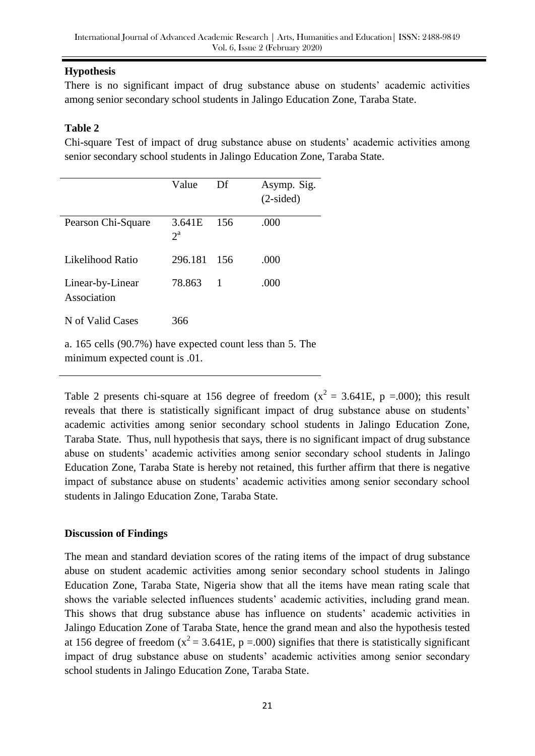## **Hypothesis**

There is no significant impact of drug substance abuse on students' academic activities among senior secondary school students in Jalingo Education Zone, Taraba State.

## **Table 2**

Chi-square Test of impact of drug substance abuse on students" academic activities among senior secondary school students in Jalingo Education Zone, Taraba State.

|                                 | Value                 | Df  | Asymp. Sig.<br>$(2-sided)$ |
|---------------------------------|-----------------------|-----|----------------------------|
| Pearson Chi-Square              | 3.641E<br>$2^{\rm a}$ | 156 | .000                       |
| Likelihood Ratio                | 296.181               | 156 | .000                       |
| Linear-by-Linear<br>Association | 78.863                | 1   | .000                       |
| N of Valid Cases                | 366                   |     |                            |

a. 165 cells (90.7%) have expected count less than 5. The minimum expected count is .01.

Table 2 presents chi-square at 156 degree of freedom ( $x^2 = 3.641E$ , p =.000); this result reveals that there is statistically significant impact of drug substance abuse on students" academic activities among senior secondary school students in Jalingo Education Zone, Taraba State. Thus, null hypothesis that says, there is no significant impact of drug substance abuse on students" academic activities among senior secondary school students in Jalingo Education Zone, Taraba State is hereby not retained, this further affirm that there is negative impact of substance abuse on students" academic activities among senior secondary school students in Jalingo Education Zone, Taraba State.

### **Discussion of Findings**

The mean and standard deviation scores of the rating items of the impact of drug substance abuse on student academic activities among senior secondary school students in Jalingo Education Zone, Taraba State, Nigeria show that all the items have mean rating scale that shows the variable selected influences students" academic activities, including grand mean. This shows that drug substance abuse has influence on students' academic activities in Jalingo Education Zone of Taraba State, hence the grand mean and also the hypothesis tested at 156 degree of freedom ( $x^2$  = 3.641E, p =.000) signifies that there is statistically significant impact of drug substance abuse on students' academic activities among senior secondary school students in Jalingo Education Zone, Taraba State.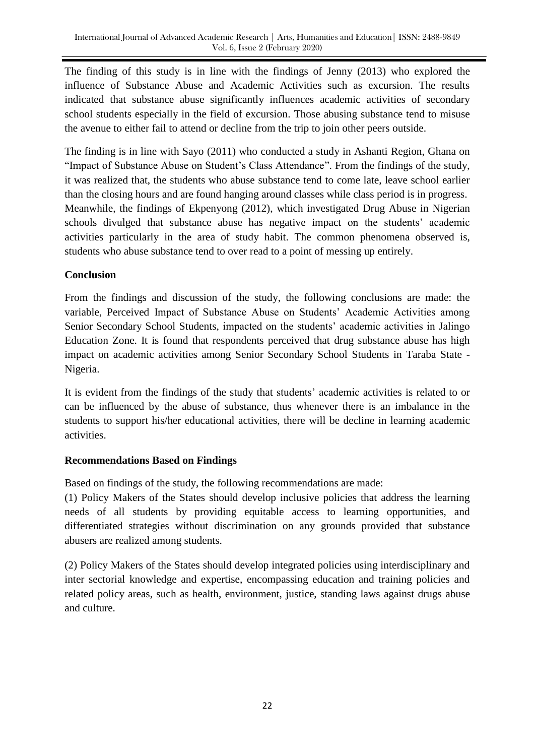The finding of this study is in line with the findings of Jenny (2013) who explored the influence of Substance Abuse and Academic Activities such as excursion. The results indicated that substance abuse significantly influences academic activities of secondary school students especially in the field of excursion. Those abusing substance tend to misuse the avenue to either fail to attend or decline from the trip to join other peers outside.

The finding is in line with Sayo (2011) who conducted a study in Ashanti Region, Ghana on "Impact of Substance Abuse on Student"s Class Attendance". From the findings of the study, it was realized that, the students who abuse substance tend to come late, leave school earlier than the closing hours and are found hanging around classes while class period is in progress. Meanwhile, the findings of Ekpenyong (2012), which investigated Drug Abuse in Nigerian schools divulged that substance abuse has negative impact on the students' academic activities particularly in the area of study habit. The common phenomena observed is, students who abuse substance tend to over read to a point of messing up entirely.

## **Conclusion**

From the findings and discussion of the study, the following conclusions are made: the variable, Perceived Impact of Substance Abuse on Students" Academic Activities among Senior Secondary School Students, impacted on the students" academic activities in Jalingo Education Zone. It is found that respondents perceived that drug substance abuse has high impact on academic activities among Senior Secondary School Students in Taraba State - Nigeria.

It is evident from the findings of the study that students' academic activities is related to or can be influenced by the abuse of substance, thus whenever there is an imbalance in the students to support his/her educational activities, there will be decline in learning academic activities.

### **Recommendations Based on Findings**

Based on findings of the study, the following recommendations are made:

(1) Policy Makers of the States should develop inclusive policies that address the learning needs of all students by providing equitable access to learning opportunities, and differentiated strategies without discrimination on any grounds provided that substance abusers are realized among students.

(2) Policy Makers of the States should develop integrated policies using interdisciplinary and inter sectorial knowledge and expertise, encompassing education and training policies and related policy areas, such as health, environment, justice, standing laws against drugs abuse and culture.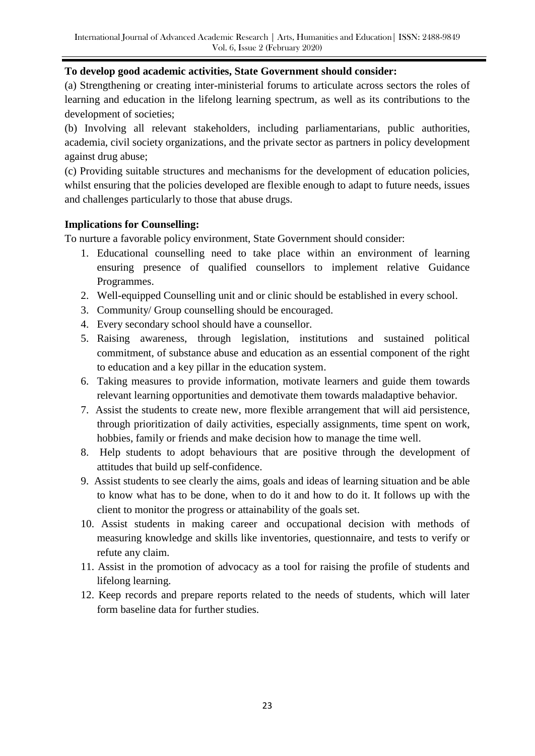### **To develop good academic activities, State Government should consider:**

(a) Strengthening or creating inter-ministerial forums to articulate across sectors the roles of learning and education in the lifelong learning spectrum, as well as its contributions to the development of societies;

(b) Involving all relevant stakeholders, including parliamentarians, public authorities, academia, civil society organizations, and the private sector as partners in policy development against drug abuse;

(c) Providing suitable structures and mechanisms for the development of education policies, whilst ensuring that the policies developed are flexible enough to adapt to future needs, issues and challenges particularly to those that abuse drugs.

### **Implications for Counselling:**

To nurture a favorable policy environment, State Government should consider:

- 1. Educational counselling need to take place within an environment of learning ensuring presence of qualified counsellors to implement relative Guidance Programmes.
- 2. Well-equipped Counselling unit and or clinic should be established in every school.
- 3. Community/ Group counselling should be encouraged.
- 4. Every secondary school should have a counsellor.
- 5. Raising awareness, through legislation, institutions and sustained political commitment, of substance abuse and education as an essential component of the right to education and a key pillar in the education system.
- 6. Taking measures to provide information, motivate learners and guide them towards relevant learning opportunities and demotivate them towards maladaptive behavior.
- 7. Assist the students to create new, more flexible arrangement that will aid persistence, through prioritization of daily activities, especially assignments, time spent on work, hobbies, family or friends and make decision how to manage the time well.
- 8. Help students to adopt behaviours that are positive through the development of attitudes that build up self-confidence.
- 9. Assist students to see clearly the aims, goals and ideas of learning situation and be able to know what has to be done, when to do it and how to do it. It follows up with the client to monitor the progress or attainability of the goals set.
- 10. Assist students in making career and occupational decision with methods of measuring knowledge and skills like inventories, questionnaire, and tests to verify or refute any claim.
- 11. Assist in the promotion of advocacy as a tool for raising the profile of students and lifelong learning.
- 12. Keep records and prepare reports related to the needs of students, which will later form baseline data for further studies.